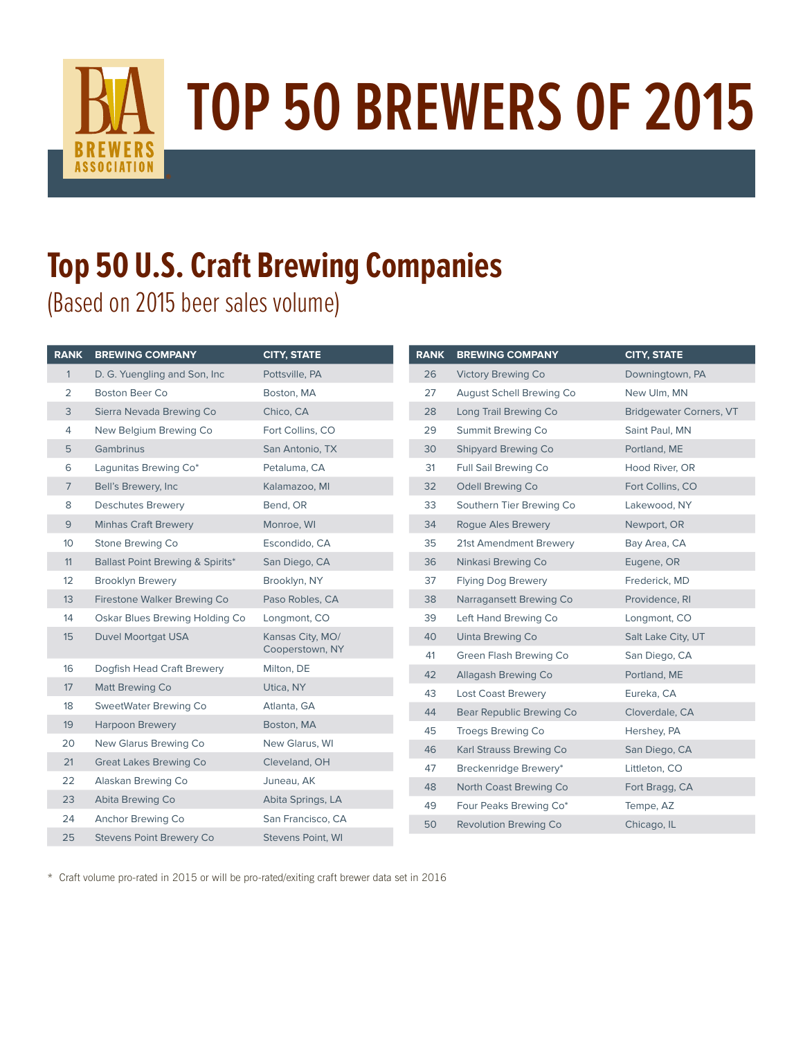

## **TOP 50 BREWERS OF 2015**

## **Top 50 U.S. Craft Brewing Companies**

(Based on 2015 beer sales volume)

| <b>RANK</b>     | <b>BREWING COMPANY</b>           | <b>CITY, STATE</b>                  | <b>RANK</b> | <b>BREWING COMPANY</b>    | <b>CITY, STATE</b>             |
|-----------------|----------------------------------|-------------------------------------|-------------|---------------------------|--------------------------------|
| $\mathbf{1}$    | D. G. Yuengling and Son, Inc.    | Pottsville, PA                      | 26          | <b>Victory Brewing Co</b> | Downingtown, PA                |
| 2               | <b>Boston Beer Co</b>            | Boston, MA                          | 27          | August Schell Brewing Co  | New Ulm, MN                    |
| 3               | Sierra Nevada Brewing Co         | Chico, CA                           | 28          | Long Trail Brewing Co     | <b>Bridgewater Corners, VT</b> |
| $\overline{4}$  | New Belgium Brewing Co           | Fort Collins, CO                    | 29          | Summit Brewing Co         | Saint Paul, MN                 |
| 5               | <b>Gambrinus</b>                 | San Antonio, TX                     | 30          | Shipyard Brewing Co       | Portland, ME                   |
| 6               | Lagunitas Brewing Co*            | Petaluma, CA                        | 31          | Full Sail Brewing Co      | Hood River, OR                 |
| $7\overline{ }$ | Bell's Brewery, Inc.             | Kalamazoo, MI                       | 32          | Odell Brewing Co          | Fort Collins, CO               |
| 8               | <b>Deschutes Brewery</b>         | Bend, OR                            | 33          | Southern Tier Brewing Co  | Lakewood, NY                   |
| 9               | <b>Minhas Craft Brewery</b>      | Monroe, WI                          | 34          | <b>Roque Ales Brewery</b> | Newport, OR                    |
| 10 <sup>°</sup> | Stone Brewing Co                 | Escondido, CA                       | 35          | 21st Amendment Brewery    | Bay Area, CA                   |
| 11              | Ballast Point Brewing & Spirits* | San Diego, CA                       | 36          | Ninkasi Brewing Co        | Eugene, OR                     |
| 12              | <b>Brooklyn Brewery</b>          | Brooklyn, NY                        | 37          | <b>Flying Dog Brewery</b> | Frederick, MD                  |
| 13              | Firestone Walker Brewing Co      | Paso Robles, CA                     | 38          | Narragansett Brewing Co   | Providence, RI                 |
| 14              | Oskar Blues Brewing Holding Co   | Longmont, CO                        | 39          | Left Hand Brewing Co      | Longmont, CO                   |
| 15              | <b>Duvel Moortgat USA</b>        | Kansas City, MO/<br>Cooperstown, NY | 40          | Uinta Brewing Co          | Salt Lake City, UT             |
|                 |                                  |                                     | 41          | Green Flash Brewing Co    | San Diego, CA                  |
| 16              | Dogfish Head Craft Brewery       | Milton, DE                          | 42          | Allagash Brewing Co       | Portland, ME                   |
| 17              | <b>Matt Brewing Co</b>           | Utica, NY                           | 43          | <b>Lost Coast Brewery</b> | Eureka, CA                     |
| 18              | SweetWater Brewing Co            | Atlanta, GA                         | 44          | Bear Republic Brewing Co  | Cloverdale, CA                 |
| 19              | <b>Harpoon Brewery</b>           | Boston, MA                          | 45          | <b>Troegs Brewing Co</b>  | Hershey, PA                    |
| 20              | New Glarus Brewing Co            | New Glarus, WI                      | 46          | Karl Strauss Brewing Co   | San Diego, CA                  |
| 21              | <b>Great Lakes Brewing Co</b>    | Cleveland, OH                       | 47          | Breckenridge Brewery*     | Littleton, CO                  |
| 22              | Alaskan Brewing Co               | Juneau, AK                          | 48          | North Coast Brewing Co    | Fort Bragg, CA                 |
| 23              | Abita Brewing Co                 | Abita Springs, LA                   | 49          | Four Peaks Brewing Co*    | Tempe, AZ                      |
| 24              | Anchor Brewing Co                | San Francisco, CA                   | 50          | Revolution Brewing Co     | Chicago, IL                    |
| 25              | <b>Stevens Point Brewery Co</b>  | Stevens Point, WI                   |             |                           |                                |

\* Craft volume pro-rated in 2015 or will be pro-rated/exiting craft brewer data set in 2016